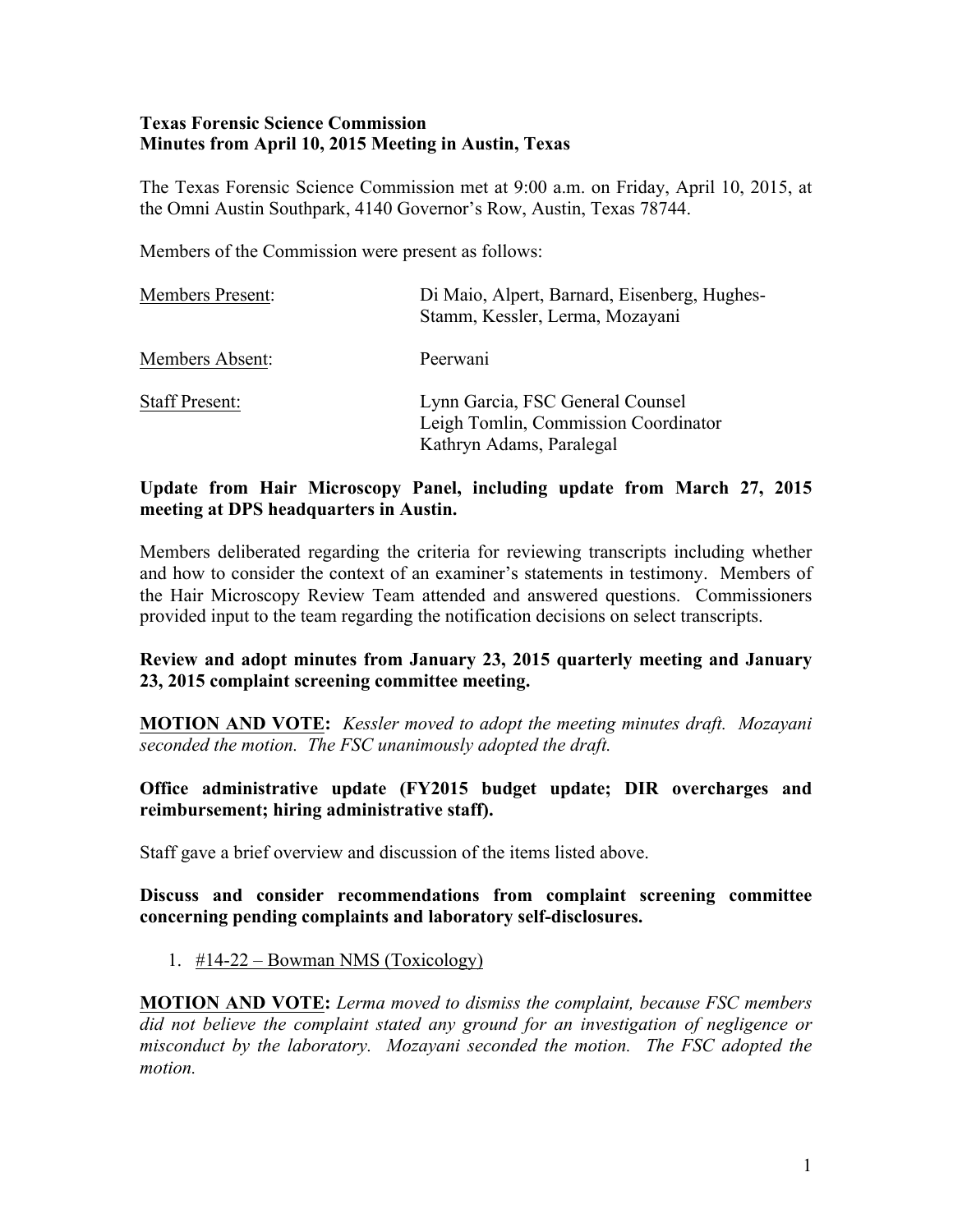### **Texas Forensic Science Commission Minutes from April 10, 2015 Meeting in Austin, Texas**

The Texas Forensic Science Commission met at 9:00 a.m. on Friday, April 10, 2015, at the Omni Austin Southpark, 4140 Governor's Row, Austin, Texas 78744.

Members of the Commission were present as follows:

| <b>Members Present:</b> | Di Maio, Alpert, Barnard, Eisenberg, Hughes-<br>Stamm, Kessler, Lerma, Mozayani                      |
|-------------------------|------------------------------------------------------------------------------------------------------|
| Members Absent:         | Peerwani                                                                                             |
| <b>Staff Present:</b>   | Lynn Garcia, FSC General Counsel<br>Leigh Tomlin, Commission Coordinator<br>Kathryn Adams, Paralegal |

# **Update from Hair Microscopy Panel, including update from March 27, 2015 meeting at DPS headquarters in Austin.**

Members deliberated regarding the criteria for reviewing transcripts including whether and how to consider the context of an examiner's statements in testimony. Members of the Hair Microscopy Review Team attended and answered questions. Commissioners provided input to the team regarding the notification decisions on select transcripts.

## **Review and adopt minutes from January 23, 2015 quarterly meeting and January 23, 2015 complaint screening committee meeting.**

**MOTION AND VOTE:** *Kessler moved to adopt the meeting minutes draft. Mozayani seconded the motion. The FSC unanimously adopted the draft.* 

## **Office administrative update (FY2015 budget update; DIR overcharges and reimbursement; hiring administrative staff).**

Staff gave a brief overview and discussion of the items listed above.

### **Discuss and consider recommendations from complaint screening committee concerning pending complaints and laboratory self-disclosures.**

1. #14-22 – Bowman NMS (Toxicology)

**MOTION AND VOTE:** *Lerma moved to dismiss the complaint, because FSC members did not believe the complaint stated any ground for an investigation of negligence or misconduct by the laboratory. Mozayani seconded the motion. The FSC adopted the motion.*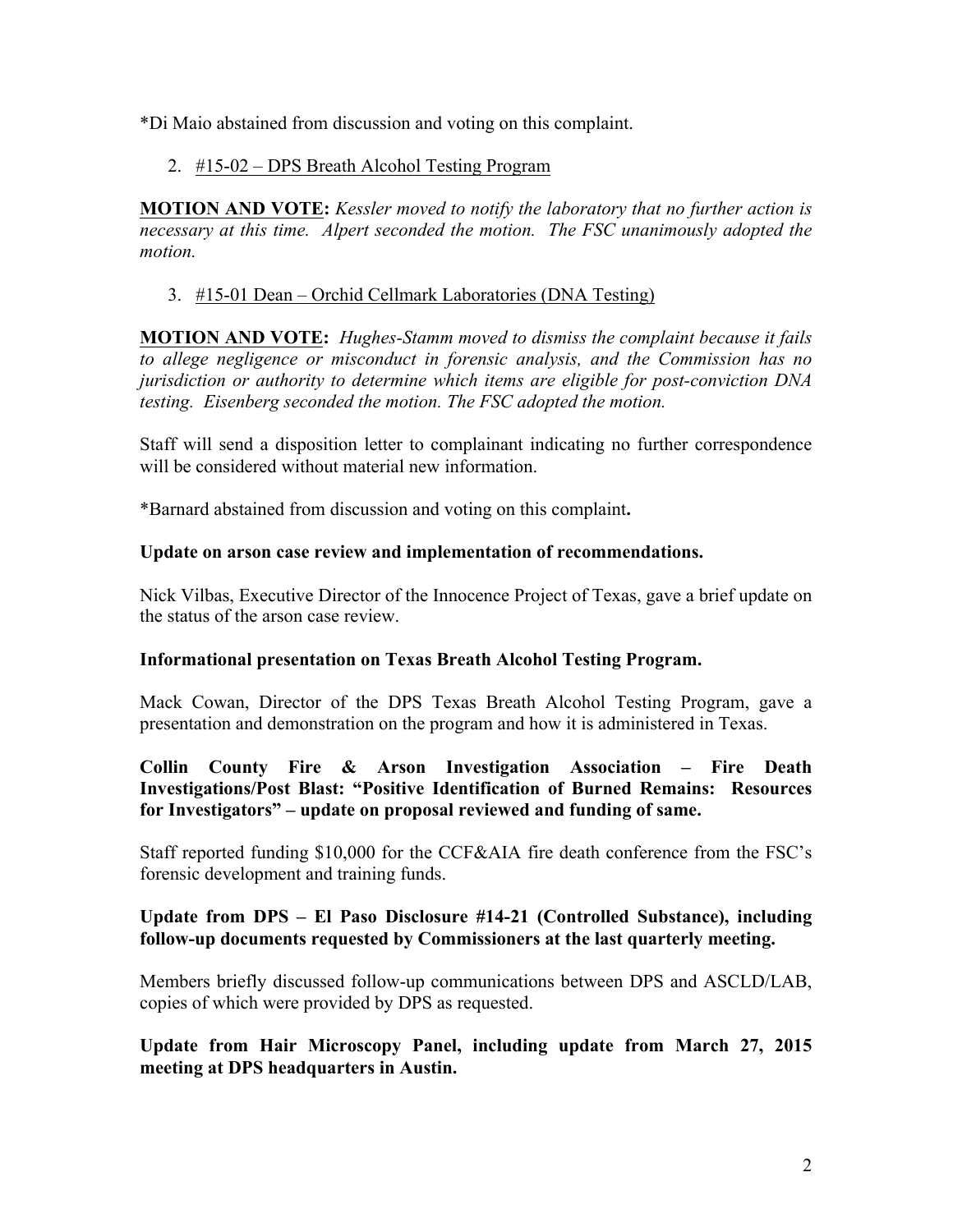\*Di Maio abstained from discussion and voting on this complaint.

## 2. #15-02 – DPS Breath Alcohol Testing Program

**MOTION AND VOTE:** *Kessler moved to notify the laboratory that no further action is necessary at this time. Alpert seconded the motion. The FSC unanimously adopted the motion.*

# 3. #15-01 Dean – Orchid Cellmark Laboratories (DNA Testing)

**MOTION AND VOTE:** *Hughes-Stamm moved to dismiss the complaint because it fails to allege negligence or misconduct in forensic analysis, and the Commission has no jurisdiction or authority to determine which items are eligible for post-conviction DNA testing. Eisenberg seconded the motion. The FSC adopted the motion.* 

Staff will send a disposition letter to complainant indicating no further correspondence will be considered without material new information.

\*Barnard abstained from discussion and voting on this complaint**.**

## **Update on arson case review and implementation of recommendations.**

Nick Vilbas, Executive Director of the Innocence Project of Texas, gave a brief update on the status of the arson case review.

## **Informational presentation on Texas Breath Alcohol Testing Program.**

Mack Cowan, Director of the DPS Texas Breath Alcohol Testing Program, gave a presentation and demonstration on the program and how it is administered in Texas.

## **Collin County Fire & Arson Investigation Association – Fire Death Investigations/Post Blast: "Positive Identification of Burned Remains: Resources for Investigators" – update on proposal reviewed and funding of same.**

Staff reported funding \$10,000 for the CCF&AIA fire death conference from the FSC's forensic development and training funds.

## **Update from DPS – El Paso Disclosure #14-21 (Controlled Substance), including follow-up documents requested by Commissioners at the last quarterly meeting.**

Members briefly discussed follow-up communications between DPS and ASCLD/LAB, copies of which were provided by DPS as requested.

### **Update from Hair Microscopy Panel, including update from March 27, 2015 meeting at DPS headquarters in Austin.**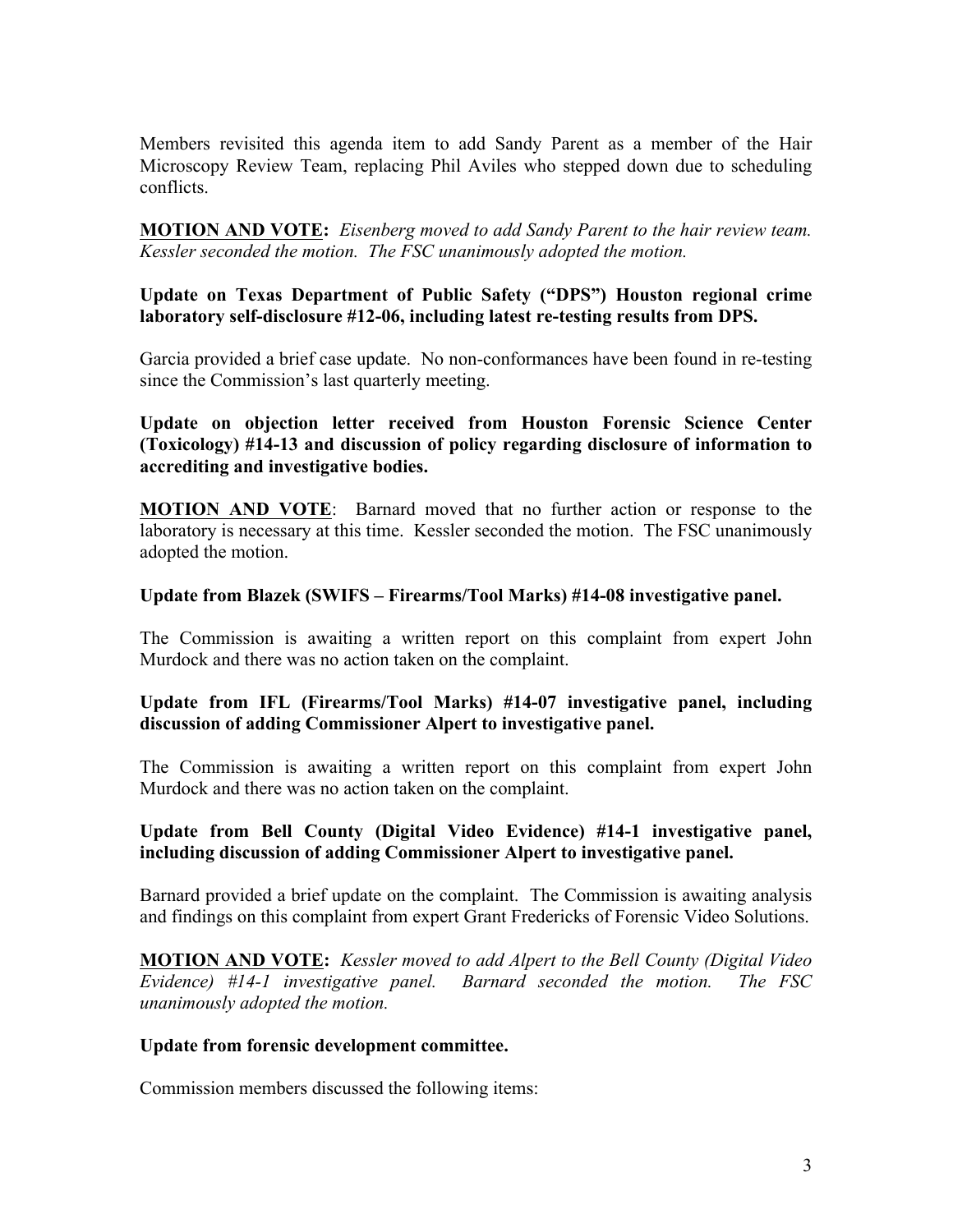Members revisited this agenda item to add Sandy Parent as a member of the Hair Microscopy Review Team, replacing Phil Aviles who stepped down due to scheduling conflicts.

**MOTION AND VOTE:** *Eisenberg moved to add Sandy Parent to the hair review team. Kessler seconded the motion. The FSC unanimously adopted the motion.*

### **Update on Texas Department of Public Safety ("DPS") Houston regional crime laboratory self-disclosure #12-06, including latest re-testing results from DPS.**

Garcia provided a brief case update. No non-conformances have been found in re-testing since the Commission's last quarterly meeting.

**Update on objection letter received from Houston Forensic Science Center (Toxicology) #14-13 and discussion of policy regarding disclosure of information to accrediting and investigative bodies.**

**MOTION AND VOTE**: Barnard moved that no further action or response to the laboratory is necessary at this time. Kessler seconded the motion. The FSC unanimously adopted the motion.

### **Update from Blazek (SWIFS – Firearms/Tool Marks) #14-08 investigative panel.**

The Commission is awaiting a written report on this complaint from expert John Murdock and there was no action taken on the complaint.

## **Update from IFL (Firearms/Tool Marks) #14-07 investigative panel, including discussion of adding Commissioner Alpert to investigative panel.**

The Commission is awaiting a written report on this complaint from expert John Murdock and there was no action taken on the complaint.

### **Update from Bell County (Digital Video Evidence) #14-1 investigative panel, including discussion of adding Commissioner Alpert to investigative panel.**

Barnard provided a brief update on the complaint. The Commission is awaiting analysis and findings on this complaint from expert Grant Fredericks of Forensic Video Solutions.

**MOTION AND VOTE:** *Kessler moved to add Alpert to the Bell County (Digital Video Evidence) #14-1 investigative panel. Barnard seconded the motion. The FSC unanimously adopted the motion.* 

#### **Update from forensic development committee.**

Commission members discussed the following items: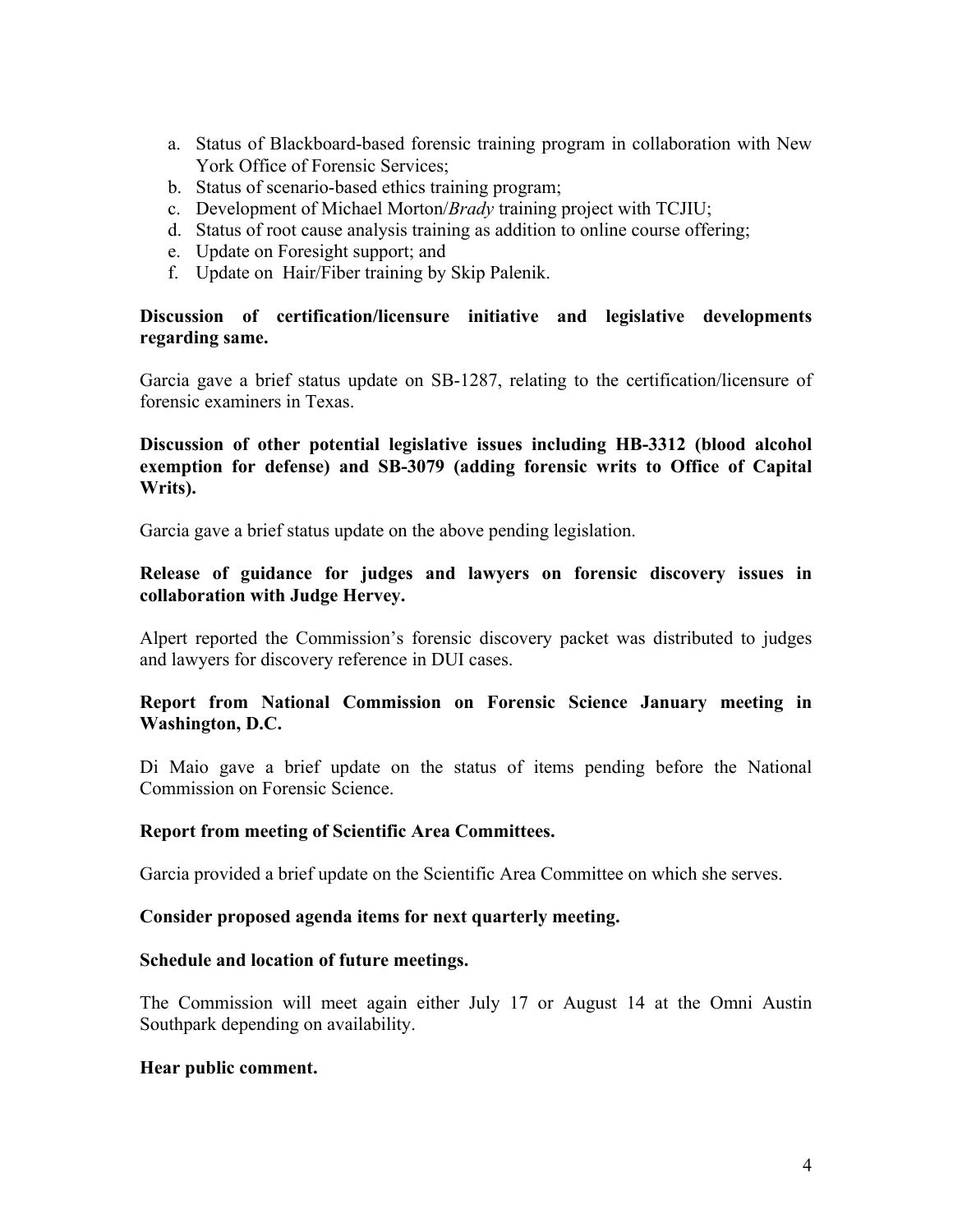- a. Status of Blackboard-based forensic training program in collaboration with New York Office of Forensic Services;
- b. Status of scenario-based ethics training program;
- c. Development of Michael Morton/*Brady* training project with TCJIU;
- d. Status of root cause analysis training as addition to online course offering;
- e. Update on Foresight support; and
- f. Update on Hair/Fiber training by Skip Palenik.

### **Discussion of certification/licensure initiative and legislative developments regarding same.**

Garcia gave a brief status update on SB-1287, relating to the certification/licensure of forensic examiners in Texas.

### **Discussion of other potential legislative issues including HB-3312 (blood alcohol exemption for defense) and SB-3079 (adding forensic writs to Office of Capital Writs).**

Garcia gave a brief status update on the above pending legislation.

### **Release of guidance for judges and lawyers on forensic discovery issues in collaboration with Judge Hervey.**

Alpert reported the Commission's forensic discovery packet was distributed to judges and lawyers for discovery reference in DUI cases.

## **Report from National Commission on Forensic Science January meeting in Washington, D.C.**

Di Maio gave a brief update on the status of items pending before the National Commission on Forensic Science.

#### **Report from meeting of Scientific Area Committees.**

Garcia provided a brief update on the Scientific Area Committee on which she serves.

#### **Consider proposed agenda items for next quarterly meeting.**

#### **Schedule and location of future meetings.**

The Commission will meet again either July 17 or August 14 at the Omni Austin Southpark depending on availability.

#### **Hear public comment.**